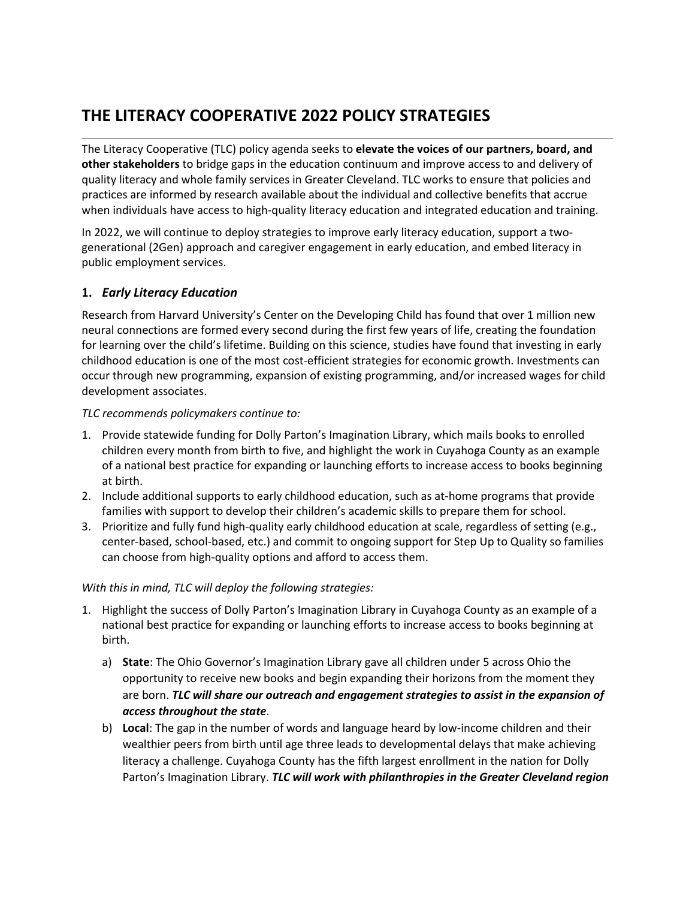# **THE LITERACY COOPERATIVE 2022 POLICY STRATEGIES**

The Literacy Cooperative (TLC) policy agenda seeks to **elevate the voices of our partners, board, and other stakeholders** to bridge gaps in the education continuum and improve access to and delivery of quality literacy and whole family services in Greater Cleveland. TLC works to ensure that policies and practices are informed by research available about the individual and collective benefits that accrue when individuals have access to high-quality literacy education and integrated education and training.

In 2022, we will continue to deploy strategies to improve early literacy education, support a twogenerational (2Gen) approach and caregiver engagement in early education, and embed literacy in public employment services.

# **1.** *Early Literacy Education*

Research from Harvard University's Center on the Developing Child has found that over 1 million new neural connections are formed every second during the first few years of life, creating the foundation for learning over the child's lifetime. Building on this science, studies have found that investing in early childhood education is one of the most cost-efficient strategies for economic growth. Investments can occur through new programming, expansion of existing programming, and/or increased wages for child development associates.

#### *TLC recommends policymakers continue to:*

- 1. Provide statewide funding for Dolly Parton's Imagination Library, which mails books to enrolled children every month from birth to five, and highlight the work in Cuyahoga County as an example of a national best practice for expanding or launching efforts to increase access to books beginning at birth.
- 2. Include additional supports to early childhood education, such as at-home programs that provide families with support to develop their children's academic skills to prepare them for school.
- 3. Prioritize and fully fund high-quality early childhood education at scale, regardless of setting (e.g., center-based, school-based, etc.) and commit to ongoing support for Step Up to Quality so families can choose from high-quality options and afford to access them.

#### *With this in mind, TLC will deploy the following strategies:*

- 1. Highlight the success of Dolly Parton's Imagination Library in Cuyahoga County as an example of a national best practice for expanding or launching efforts to increase access to books beginning at birth.
	- a) **State**: The Ohio Governor's Imagination Library gave all children under 5 across Ohio the opportunity to receive new books and begin expanding their horizons from the moment they are born. *TLC will share our outreach and engagement strategies to assist in the expansion of access throughout the state*.
	- b) **Local**: The gap in the number of words and language heard by low-income children and their wealthier peers from birth until age three leads to developmental delays that make achieving literacy a challenge. Cuyahoga County has the fifth largest enrollment in the nation for Dolly Parton's Imagination Library. *TLC will work with philanthropies in the Greater Cleveland region*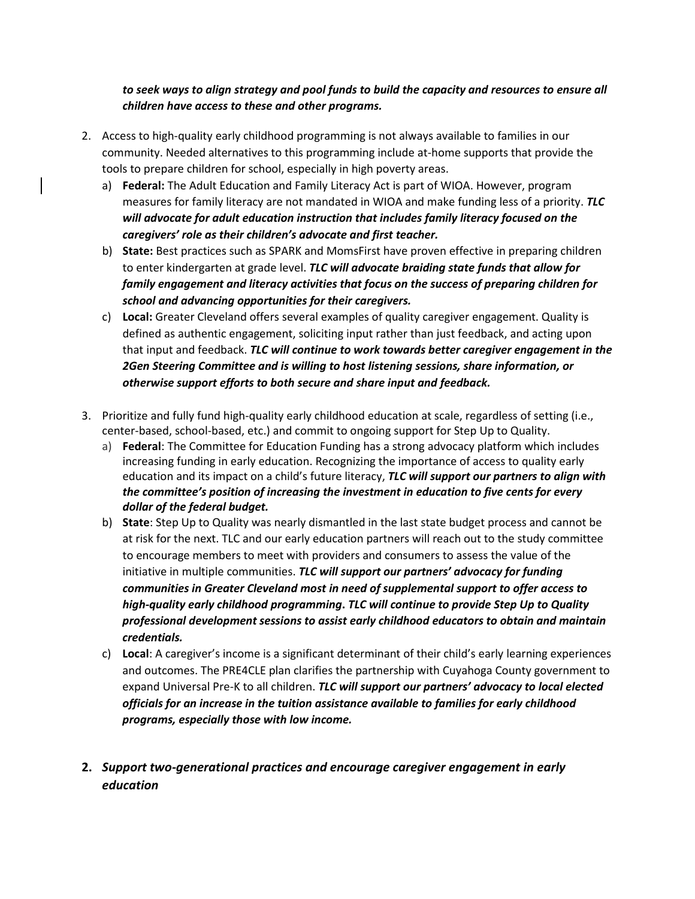# *to seek ways to align strategy and pool funds to build the capacity and resources to ensure all children have access to these and other programs.*

- 2. Access to high-quality early childhood programming is not always available to families in our community. Needed alternatives to this programming include at-home supports that provide the tools to prepare children for school, especially in high poverty areas.
	- a) **Federal:** The Adult Education and Family Literacy Act is part of WIOA. However, program measures for family literacy are not mandated in WIOA and make funding less of a priority. *TLC will advocate for adult education instruction that includes family literacy focused on the caregivers' role as their children's advocate and first teacher.*
	- b) **State:** Best practices such as SPARK and MomsFirst have proven effective in preparing children to enter kindergarten at grade level. *TLC will advocate braiding state funds that allow for family engagement and literacy activities that focus on the success of preparing children for school and advancing opportunities for their caregivers.*
	- c) **Local:** Greater Cleveland offers several examples of quality caregiver engagement. Quality is defined as authentic engagement, soliciting input rather than just feedback, and acting upon that input and feedback. *TLC will continue to work towards better caregiver engagement in the 2Gen Steering Committee and is willing to host listening sessions, share information, or otherwise support efforts to both secure and share input and feedback.*
- 3. Prioritize and fully fund high-quality early childhood education at scale, regardless of setting (i.e., center-based, school-based, etc.) and commit to ongoing support for Step Up to Quality.
	- a) **Federal**: The Committee for Education Funding has a strong advocacy platform which includes increasing funding in early education. Recognizing the importance of access to quality early education and its impact on a child's future literacy, *TLC will support our partners to align with the committee's position of increasing the investment in education to five cents for every dollar of the federal budget.*
	- b) **State**: Step Up to Quality was nearly dismantled in the last state budget process and cannot be at risk for the next. TLC and our early education partners will reach out to the study committee to encourage members to meet with providers and consumers to assess the value of the initiative in multiple communities. *TLC will support our partners' advocacy for funding communities in Greater Cleveland most in need of supplemental support to offer access to high-quality early childhood programming***.** *TLC will continue to provide Step Up to Quality professional development sessions to assist early childhood educators to obtain and maintain credentials.*
	- c) **Local**: A caregiver's income is a significant determinant of their child's early learning experiences and outcomes. The PRE4CLE plan clarifies the partnership with Cuyahoga County government to expand Universal Pre-K to all children. *TLC will support our partners' advocacy to local elected officials for an increase in the tuition assistance available to families for early childhood programs, especially those with low income.*
- **2.** *Support two-generational practices and encourage caregiver engagement in early education*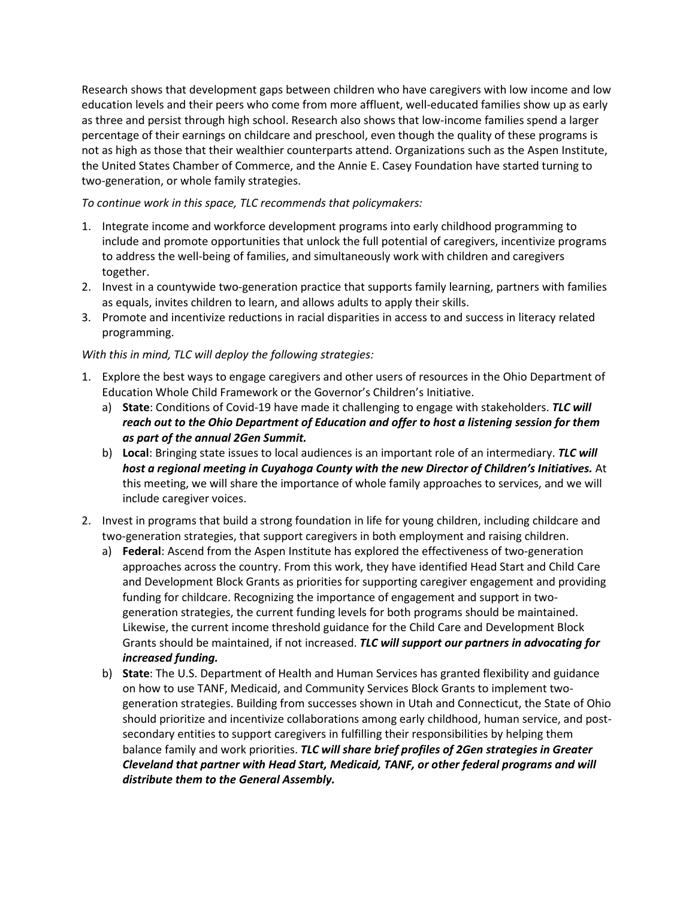Research shows that development gaps between children who have caregivers with low income and low education levels and their peers who come from more affluent, well-educated families show up as early as three and persist through high school. Research also shows that low-income families spend a larger percentage of their earnings on childcare and preschool, even though the quality of these programs is not as high as those that their wealthier counterparts attend. Organizations such as the Aspen Institute, the United States Chamber of Commerce, and the Annie E. Casey Foundation have started turning to two-generation, or whole family strategies.

### *To continue work in this space, TLC recommends that policymakers:*

- 1. Integrate income and workforce development programs into early childhood programming to include and promote opportunities that unlock the full potential of caregivers, incentivize programs to address the well-being of families, and simultaneously work with children and caregivers together.
- 2. Invest in a countywide two-generation practice that supports family learning, partners with families as equals, invites children to learn, and allows adults to apply their skills.
- 3. Promote and incentivize reductions in racial disparities in access to and success in literacy related programming.

### *With this in mind, TLC will deploy the following strategies:*

- 1. Explore the best ways to engage caregivers and other users of resources in the Ohio Department of Education Whole Child Framework or the Governor's Children's Initiative.
	- a) **State**: Conditions of Covid-19 have made it challenging to engage with stakeholders. *TLC will reach out to the Ohio Department of Education and offer to host a listening session for them as part of the annual 2Gen Summit.*
	- b) **Local**: Bringing state issues to local audiences is an important role of an intermediary. *TLC will host a regional meeting in Cuyahoga County with the new Director of Children's Initiatives.* At this meeting, we will share the importance of whole family approaches to services, and we will include caregiver voices.
- 2. Invest in programs that build a strong foundation in life for young children, including childcare and two-generation strategies, that support caregivers in both employment and raising children.
	- a) **Federal**: Ascend from the Aspen Institute has explored the effectiveness of two-generation approaches across the country. From this work, they have identified Head Start and Child Care and Development Block Grants as priorities for supporting caregiver engagement and providing funding for childcare. Recognizing the importance of engagement and support in twogeneration strategies, the current funding levels for both programs should be maintained. Likewise, the current income threshold guidance for the Child Care and Development Block Grants should be maintained, if not increased. *TLC will support our partners in advocating for increased funding.*
	- b) **State**: The U.S. Department of Health and Human Services has granted flexibility and guidance on how to use TANF, Medicaid, and Community Services Block Grants to implement twogeneration strategies. Building from successes shown in Utah and Connecticut, the State of Ohio should prioritize and incentivize collaborations among early childhood, human service, and postsecondary entities to support caregivers in fulfilling their responsibilities by helping them balance family and work priorities. *TLC will share brief profiles of 2Gen strategies in Greater Cleveland that partner with Head Start, Medicaid, TANF, or other federal programs and will distribute them to the General Assembly.*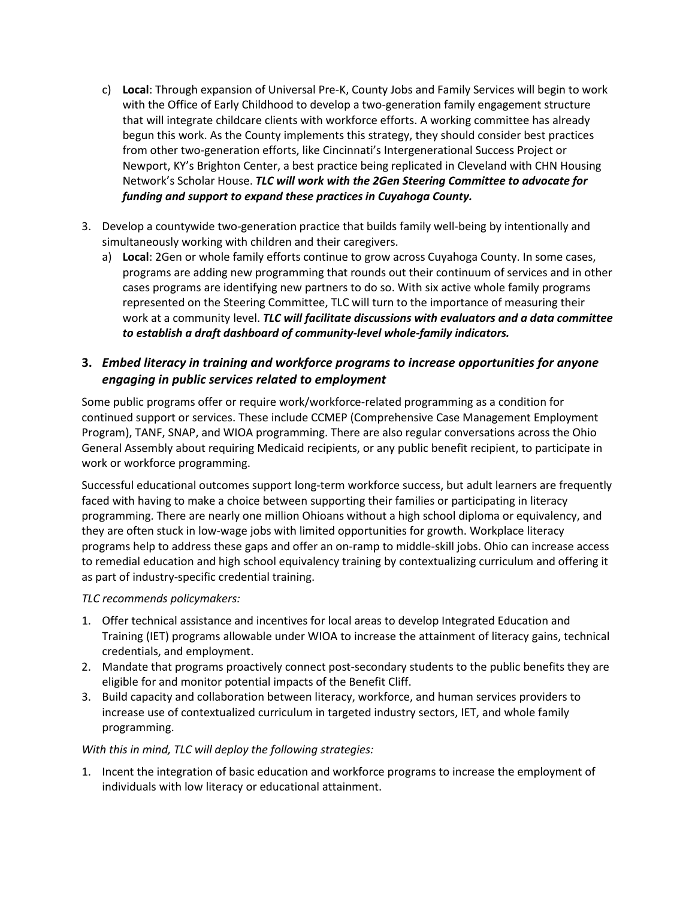- c) **Local**: Through expansion of Universal Pre-K, County Jobs and Family Services will begin to work with the Office of Early Childhood to develop a two-generation family engagement structure that will integrate childcare clients with workforce efforts. A working committee has already begun this work. As the County implements this strategy, they should consider best practices from other two-generation efforts, like Cincinnati's Intergenerational Success Project or Newport, KY's Brighton Center, a best practice being replicated in Cleveland with CHN Housing Network's Scholar House. *TLC will work with the 2Gen Steering Committee to advocate for funding and support to expand these practices in Cuyahoga County.*
- 3. Develop a countywide two-generation practice that builds family well-being by intentionally and simultaneously working with children and their caregivers.
	- a) **Local**: 2Gen or whole family efforts continue to grow across Cuyahoga County. In some cases, programs are adding new programming that rounds out their continuum of services and in other cases programs are identifying new partners to do so. With six active whole family programs represented on the Steering Committee, TLC will turn to the importance of measuring their work at a community level. *TLC will facilitate discussions with evaluators and a data committee to establish a draft dashboard of community-level whole-family indicators.*

# **3.** *Embed literacy in training and workforce programs to increase opportunities for anyone engaging in public services related to employment*

Some public programs offer or require work/workforce-related programming as a condition for continued support or services. These include CCMEP (Comprehensive Case Management Employment Program), TANF, SNAP, and WIOA programming. There are also regular conversations across the Ohio General Assembly about requiring Medicaid recipients, or any public benefit recipient, to participate in work or workforce programming.

Successful educational outcomes support long-term workforce success, but adult learners are frequently faced with having to make a choice between supporting their families or participating in literacy programming. There are nearly one million Ohioans without a high school diploma or equivalency, and they are often stuck in low-wage jobs with limited opportunities for growth. Workplace literacy programs help to address these gaps and offer an on-ramp to middle-skill jobs. Ohio can increase access to remedial education and high school equivalency training by contextualizing curriculum and offering it as part of industry-specific credential training.

#### *TLC recommends policymakers:*

- 1. Offer technical assistance and incentives for local areas to develop Integrated Education and Training (IET) programs allowable under WIOA to increase the attainment of literacy gains, technical credentials, and employment.
- 2. Mandate that programs proactively connect post-secondary students to the public benefits they are eligible for and monitor potential impacts of the Benefit Cliff.
- 3. Build capacity and collaboration between literacy, workforce, and human services providers to increase use of contextualized curriculum in targeted industry sectors, IET, and whole family programming.

# *With this in mind, TLC will deploy the following strategies:*

1. Incent the integration of basic education and workforce programs to increase the employment of individuals with low literacy or educational attainment.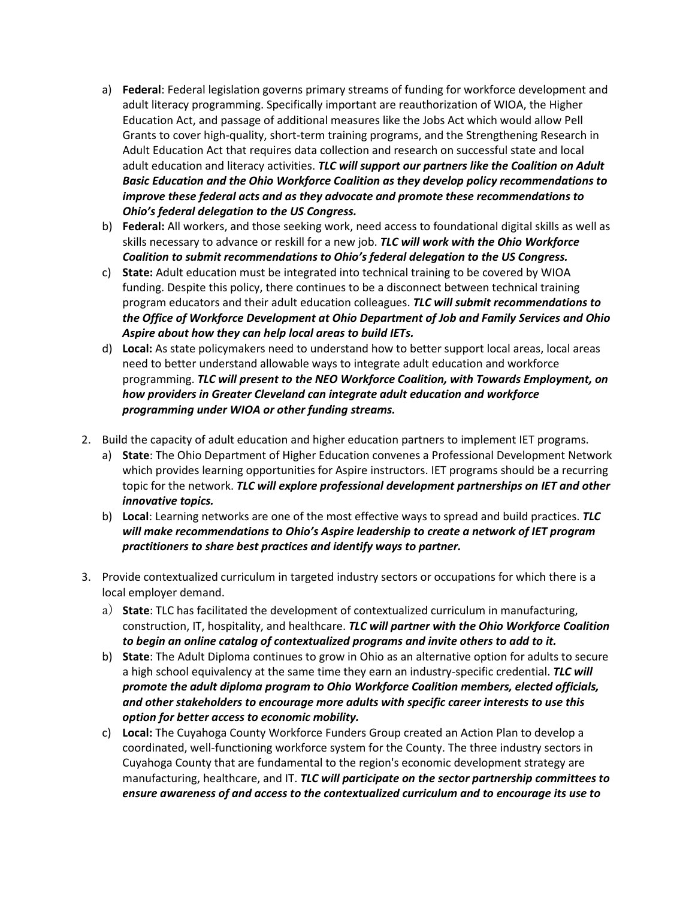- a) **Federal**: Federal legislation governs primary streams of funding for workforce development and adult literacy programming. Specifically important are reauthorization of WIOA, the Higher Education Act, and passage of additional measures like the Jobs Act which would allow Pell Grants to cover high-quality, short-term training programs, and the Strengthening Research in Adult Education Act that requires data collection and research on successful state and local adult education and literacy activities. *TLC will support our partners like the Coalition on Adult Basic Education and the Ohio Workforce Coalition as they develop policy recommendations to improve these federal acts and as they advocate and promote these recommendations to Ohio's federal delegation to the US Congress.*
- b) **Federal:** All workers, and those seeking work, need access to foundational digital skills as well as skills necessary to advance or reskill for a new job. *TLC will work with the Ohio Workforce Coalition to submit recommendations to Ohio's federal delegation to the US Congress.*
- c) **State:** Adult education must be integrated into technical training to be covered by WIOA funding. Despite this policy, there continues to be a disconnect between technical training program educators and their adult education colleagues. *TLC will submit recommendations to the Office of Workforce Development at Ohio Department of Job and Family Services and Ohio Aspire about how they can help local areas to build IETs.*
- d) **Local:** As state policymakers need to understand how to better support local areas, local areas need to better understand allowable ways to integrate adult education and workforce programming. *TLC will present to the NEO Workforce Coalition, with Towards Employment, on how providers in Greater Cleveland can integrate adult education and workforce programming under WIOA or other funding streams.*
- 2. Build the capacity of adult education and higher education partners to implement IET programs.
	- a) **State**: The Ohio Department of Higher Education convenes a Professional Development Network which provides learning opportunities for Aspire instructors. IET programs should be a recurring topic for the network. *TLC will explore professional development partnerships on IET and other innovative topics.*
	- b) **Local**: Learning networks are one of the most effective ways to spread and build practices. *TLC will make recommendations to Ohio's Aspire leadership to create a network of IET program practitioners to share best practices and identify ways to partner.*
- 3. Provide contextualized curriculum in targeted industry sectors or occupations for which there is a local employer demand.
	- a) **State**: TLC has facilitated the development of contextualized curriculum in manufacturing, construction, IT, hospitality, and healthcare. *TLC will partner with the Ohio Workforce Coalition to begin an online catalog of contextualized programs and invite others to add to it.*
	- b) **State**: The Adult Diploma continues to grow in Ohio as an alternative option for adults to secure a high school equivalency at the same time they earn an industry-specific credential. *TLC will promote the adult diploma program to Ohio Workforce Coalition members, elected officials, and other stakeholders to encourage more adults with specific career interests to use this option for better access to economic mobility.*
	- c) **Local:** The Cuyahoga County Workforce Funders Group created an Action Plan to develop a coordinated, well-functioning workforce system for the County. The three industry sectors in Cuyahoga County that are fundamental to the region's economic development strategy are manufacturing, healthcare, and IT. *TLC will participate on the sector partnership committees to ensure awareness of and access to the contextualized curriculum and to encourage its use to*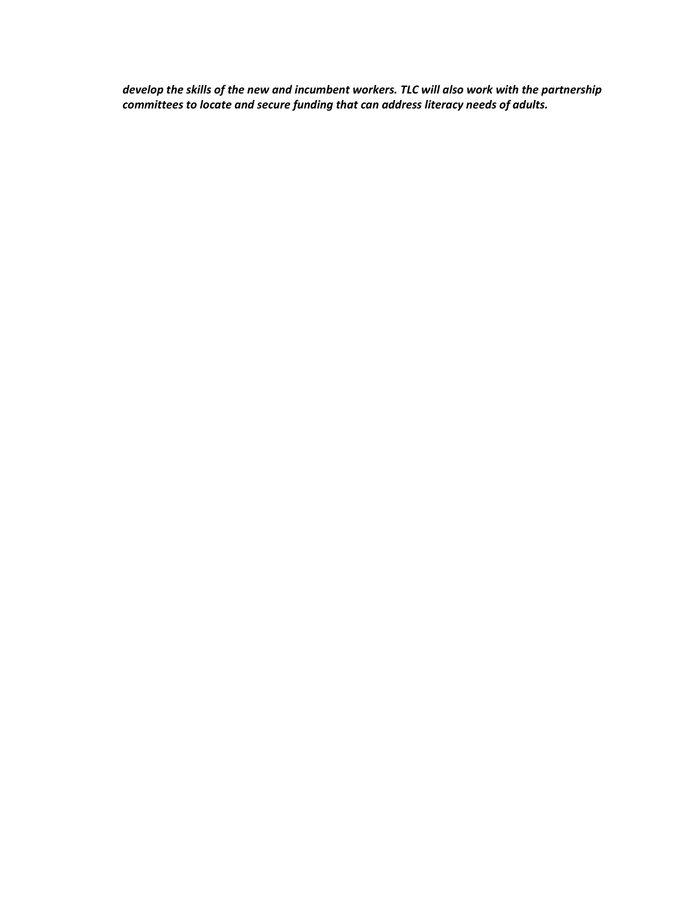*develop the skills of the new and incumbent workers. TLC will also work with the partnership committees to locate and secure funding that can address literacy needs of adults.*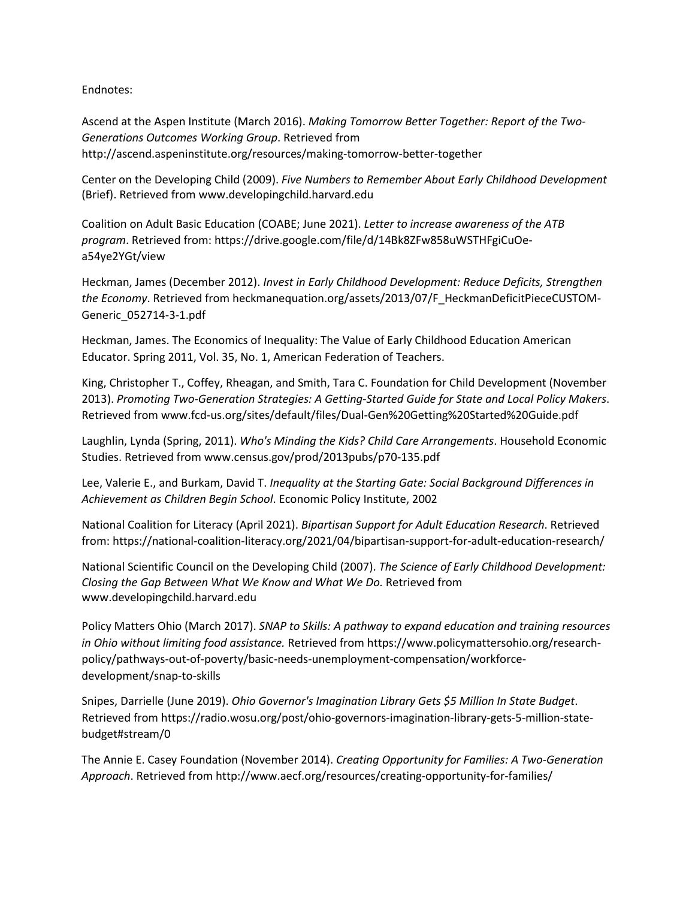#### Endnotes:

Ascend at the Aspen Institute (March 2016). *Making Tomorrow Better Together: Report of the Two-Generations Outcomes Working Group*. Retrieved from http://ascend.aspeninstitute.org/resources/making-tomorrow-better-together

Center on the Developing Child (2009). *Five Numbers to Remember About Early Childhood Development* (Brief). Retrieved from www.developingchild.harvard.edu

Coalition on Adult Basic Education (COABE; June 2021). *Letter to increase awareness of the ATB program*. Retrieved from: https://drive.google.com/file/d/14Bk8ZFw858uWSTHFgiCuOea54ye2YGt/view

Heckman, James (December 2012). *Invest in Early Childhood Development: Reduce Deficits, Strengthen the Economy*. Retrieved from heckmanequation.org/assets/2013/07/F\_HeckmanDeficitPieceCUSTOM-Generic\_052714-3-1.pdf

Heckman, James. The Economics of Inequality: The Value of Early Childhood Education American Educator. Spring 2011, Vol. 35, No. 1, American Federation of Teachers.

King, Christopher T., Coffey, Rheagan, and Smith, Tara C. Foundation for Child Development (November 2013). *Promoting Two-Generation Strategies: A Getting-Started Guide for State and Local Policy Makers*. Retrieved from www.fcd-us.org/sites/default/files/Dual-Gen%20Getting%20Started%20Guide.pdf

Laughlin, Lynda (Spring, 2011). *Who's Minding the Kids? Child Care Arrangements*. Household Economic Studies. Retrieved from www.census.gov/prod/2013pubs/p70-135.pdf

Lee, Valerie E., and Burkam, David T. *Inequality at the Starting Gate: Social Background Differences in Achievement as Children Begin School*. Economic Policy Institute, 2002

National Coalition for Literacy (April 2021). *Bipartisan Support for Adult Education Research*. Retrieved from: https://national-coalition-literacy.org/2021/04/bipartisan-support-for-adult-education-research/

National Scientific Council on the Developing Child (2007). *The Science of Early Childhood Development: Closing the Gap Between What We Know and What We Do.* Retrieved from www.developingchild.harvard.edu

Policy Matters Ohio (March 2017). *SNAP to Skills: A pathway to expand education and training resources in Ohio without limiting food assistance.* Retrieved from https://www.policymattersohio.org/researchpolicy/pathways-out-of-poverty/basic-needs-unemployment-compensation/workforcedevelopment/snap-to-skills

Snipes, Darrielle (June 2019). *Ohio Governor's Imagination Library Gets \$5 Million In State Budget*. Retrieved from https://radio.wosu.org/post/ohio-governors-imagination-library-gets-5-million-statebudget#stream/0

The Annie E. Casey Foundation (November 2014). *Creating Opportunity for Families: A Two-Generation Approach*. Retrieved from http://www.aecf.org/resources/creating-opportunity-for-families/